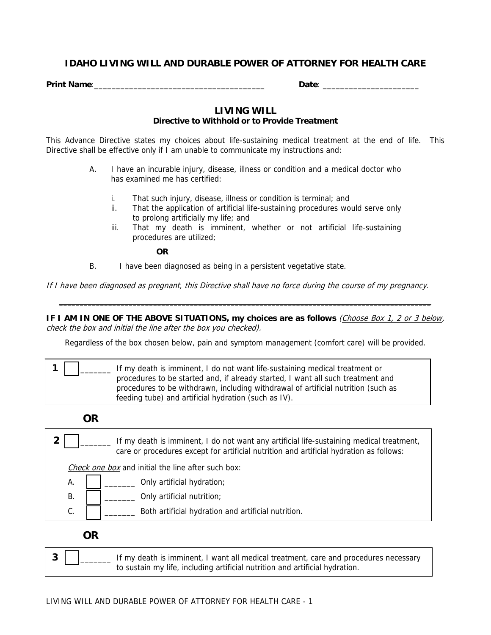# **IDAHO LIVING WILL AND DURABLE POWER OF ATTORNEY FOR HEALTH CARE**

**Print Name**:\_\_\_\_\_\_\_\_\_\_\_\_\_\_\_\_\_\_\_\_\_\_\_\_\_\_\_\_\_\_\_\_\_\_\_\_\_\_\_ **Date**: \_\_\_\_\_\_\_\_\_\_\_\_\_\_\_\_\_\_\_\_\_\_

# **LIVING WILL**

## **Directive to Withhold or to Provide Treatment**

This Advance Directive states my choices about life-sustaining medical treatment at the end of life. This Directive shall be effective only if I am unable to communicate my instructions and:

- A. I have an incurable injury, disease, illness or condition and a medical doctor who has examined me has certified:
	- i. That such injury, disease, illness or condition is terminal; and
	- ii. That the application of artificial life-sustaining procedures would serve only to prolong artificially my life; and
	- iii. That my death is imminent, whether or not artificial life-sustaining procedures are utilized;

**OR**

B. I have been diagnosed as being in a persistent vegetative state.

If I have been diagnosed as pregnant, this Directive shall have no force during the course of my pregnancy.

**IF I AM IN ONE OF THE ABOVE SITUATIONS, my choices are as follows** (Choose Box 1, 2 or 3 below, check the box and initial the line after the box you checked).

**\_\_\_\_\_\_\_\_\_\_\_\_\_\_\_\_\_\_\_\_\_\_\_\_\_\_\_\_\_\_\_\_\_\_\_\_\_\_\_\_\_\_\_\_\_\_\_\_\_\_\_\_\_\_\_\_\_\_\_\_\_\_\_\_\_\_\_\_\_\_\_\_\_\_\_\_\_\_\_\_\_\_\_\_\_\_\_\_\_\_\_** 

Regardless of the box chosen below, pain and symptom management (comfort care) will be provided.

|  | If my death is imminent, I do not want life-sustaining medical treatment or       |
|--|-----------------------------------------------------------------------------------|
|  | procedures to be started and, if already started, I want all such treatment and   |
|  | procedures to be withdrawn, including withdrawal of artificial nutrition (such as |
|  | feeding tube) and artificial hydration (such as IV).                              |

#### **OR**

**2** \_\_\_\_\_\_\_ If my death is imminent, I do not want any artificial life-sustaining medical treatment, care or procedures except for artificial nutrition and artificial hydration as follows: Check one box and initial the line after such box: A. \_\_\_\_\_\_\_ Only artificial hydration;  $\mathsf{B}$ .  $\mathsf{B}$   $\mathsf{C}$   $\mathsf{D}$   $\mathsf{D}$   $\mathsf{D}$   $\mathsf{D}$   $\mathsf{D}$   $\mathsf{D}$   $\mathsf{D}$   $\mathsf{D}$   $\mathsf{D}$   $\mathsf{D}$   $\mathsf{D}$   $\mathsf{D}$   $\mathsf{D}$   $\mathsf{D}$   $\mathsf{D}$   $\mathsf{D}$   $\mathsf{D}$   $\mathsf{D}$   $\mathsf{D}$   $\mathsf{D}$   $\mathsf{D}$   $\mathsf$  $C.$   $\Box$   $\Box$  Both artificial hydration and artificial nutrition.

**OR**

**3**  $\vert$  **i** If my death is imminent, I want all medical treatment, care and procedures necessary to sustain my life, including artificial nutrition and artificial hydration.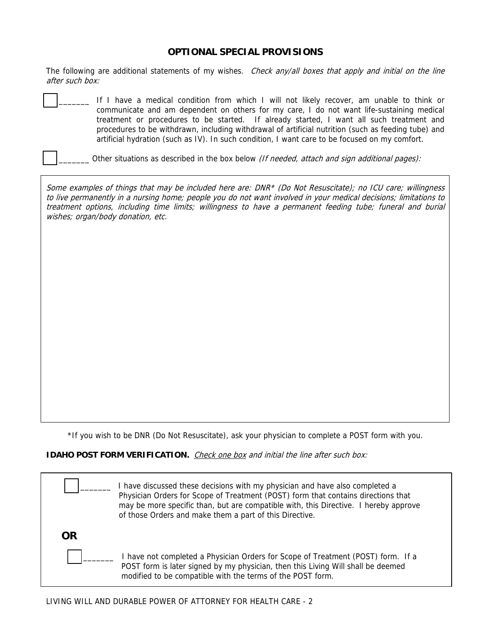### **OPTIONAL SPECIAL PROVISIONS**

The following are additional statements of my wishes. Check any/all boxes that apply and initial on the line after such box:

|  | If I have a medical condition from which I will not likely recover, am unable to think or           |
|--|-----------------------------------------------------------------------------------------------------|
|  | communicate and am dependent on others for my care, I do not want life-sustaining medical           |
|  | treatment or procedures to be started. If already started, I want all such treatment and            |
|  | procedures to be withdrawn, including withdrawal of artificial nutrition (such as feeding tube) and |
|  | artificial hydration (such as IV). In such condition, I want care to be focused on my comfort.      |

Other situations as described in the box below (If needed, attach and sign additional pages):

Some examples of things that may be included here are: DNR\* (Do Not Resuscitate); no ICU care; willingness to live permanently in a nursing home; people you do not want involved in your medical decisions; limitations to treatment options, including time limits; willingness to have a permanent feeding tube; funeral and burial wishes; organ/body donation, etc.

\*If you wish to be DNR (Do Not Resuscitate), ask your physician to complete a POST form with you.

**IDAHO POST FORM VERIFICATION.** Check one box and initial the line after such box:

|    | have discussed these decisions with my physician and have also completed a<br>Physician Orders for Scope of Treatment (POST) form that contains directions that<br>may be more specific than, but are compatible with, this Directive. I hereby approve<br>of those Orders and make them a part of this Directive. |
|----|--------------------------------------------------------------------------------------------------------------------------------------------------------------------------------------------------------------------------------------------------------------------------------------------------------------------|
| OR |                                                                                                                                                                                                                                                                                                                    |
|    | I have not completed a Physician Orders for Scope of Treatment (POST) form. If a<br>POST form is later signed by my physician, then this Living Will shall be deemed<br>modified to be compatible with the terms of the POST form.                                                                                 |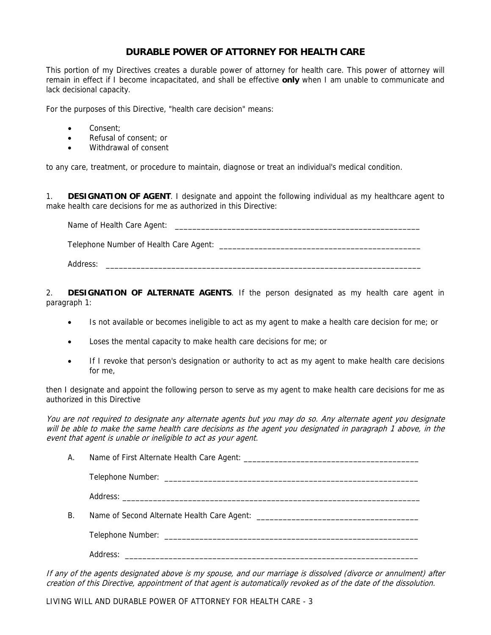# **DURABLE POWER OF ATTORNEY FOR HEALTH CARE**

This portion of my Directives creates a durable power of attorney for health care. This power of attorney will remain in effect if I become incapacitated, and shall be effective **only** when I am unable to communicate and lack decisional capacity.

For the purposes of this Directive, "health care decision" means:

- Consent:
- Refusal of consent: or
- Withdrawal of consent

to any care, treatment, or procedure to maintain, diagnose or treat an individual's medical condition.

1. **DESIGNATION OF AGENT**. I designate and appoint the following individual as my healthcare agent to make health care decisions for me as authorized in this Directive:

| Name of Health Care Agent:             |
|----------------------------------------|
| Telephone Number of Health Care Agent: |
| Address:                               |

2. **DESIGNATION OF ALTERNATE AGENTS**. If the person designated as my health care agent in paragraph 1:

- Is not available or becomes ineligible to act as my agent to make a health care decision for me; or
- Loses the mental capacity to make health care decisions for me; or
- If I revoke that person's designation or authority to act as my agent to make health care decisions for me,

then I designate and appoint the following person to serve as my agent to make health care decisions for me as authorized in this Directive

You are not required to designate any alternate agents but you may do so. Any alternate agent you designate will be able to make the same health care decisions as the agent you designated in paragraph 1 above, in the event that agent is unable or ineligible to act as your agent.

| А. |  |
|----|--|
|    |  |
|    |  |
| Β. |  |
|    |  |
|    |  |

If any of the agents designated above is my spouse, and our marriage is dissolved (divorce or annulment) after creation of this Directive, appointment of that agent is automatically revoked as of the date of the dissolution.

LIVING WILL AND DURABLE POWER OF ATTORNEY FOR HEALTH CARE - 3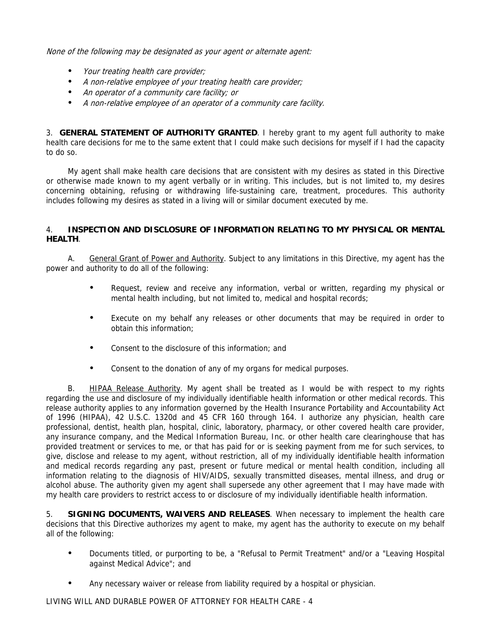None of the following may be designated as your agent or alternate agent:

- Your treating health care provider;
- A non-relative employee of your treating health care provider;
- An operator of a community care facility; or
- A non-relative employee of an operator of a community care facility.

3. **GENERAL STATEMENT OF AUTHORITY GRANTED**. I hereby grant to my agent full authority to make health care decisions for me to the same extent that I could make such decisions for myself if I had the capacity to do so.

 My agent shall make health care decisions that are consistent with my desires as stated in this Directive or otherwise made known to my agent verbally or in writing. This includes, but is not limited to, my desires concerning obtaining, refusing or withdrawing life-sustaining care, treatment, procedures. This authority includes following my desires as stated in a living will or similar document executed by me.

### 4. **INSPECTION AND DISCLOSURE OF INFORMATION RELATING TO MY PHYSICAL OR MENTAL HEALTH**.

 A. General Grant of Power and Authority. Subject to any limitations in this Directive, my agent has the power and authority to do all of the following:

- Request, review and receive any information, verbal or written, regarding my physical or mental health including, but not limited to, medical and hospital records;
- Execute on my behalf any releases or other documents that may be required in order to obtain this information;
- Consent to the disclosure of this information; and
- Consent to the donation of any of my organs for medical purposes.

B. HIPAA Release Authority. My agent shall be treated as I would be with respect to my rights regarding the use and disclosure of my individually identifiable health information or other medical records. This release authority applies to any information governed by the Health Insurance Portability and Accountability Act of 1996 (HIPAA), 42 U.S.C. 1320d and 45 CFR 160 through 164. I authorize any physician, health care professional, dentist, health plan, hospital, clinic, laboratory, pharmacy, or other covered health care provider, any insurance company, and the Medical Information Bureau, Inc. or other health care clearinghouse that has provided treatment or services to me, or that has paid for or is seeking payment from me for such services, to give, disclose and release to my agent, without restriction, all of my individually identifiable health information and medical records regarding any past, present or future medical or mental health condition, including all information relating to the diagnosis of HIV/AIDS, sexually transmitted diseases, mental illness, and drug or alcohol abuse. The authority given my agent shall supersede any other agreement that I may have made with my health care providers to restrict access to or disclosure of my individually identifiable health information.

5. **SIGNING DOCUMENTS, WAIVERS AND RELEASES**. When necessary to implement the health care decisions that this Directive authorizes my agent to make, my agent has the authority to execute on my behalf all of the following:

- Documents titled, or purporting to be, a "Refusal to Permit Treatment" and/or a "Leaving Hospital against Medical Advice"; and
- Any necessary waiver or release from liability required by a hospital or physician.

LIVING WILL AND DURABLE POWER OF ATTORNEY FOR HEALTH CARE - 4